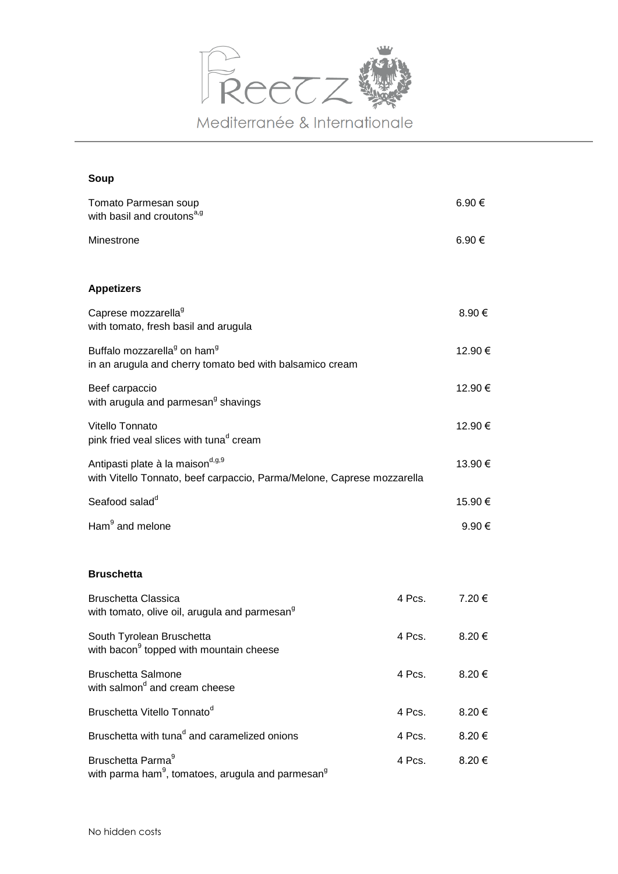

## **Soup**

| Tomato Parmesan soup<br>with basil and croutons <sup>a,g</sup>                                                  |        | 6.90€      |
|-----------------------------------------------------------------------------------------------------------------|--------|------------|
| Minestrone                                                                                                      |        | 6.90€      |
| <b>Appetizers</b>                                                                                               |        |            |
| Caprese mozzarella <sup>9</sup><br>with tomato, fresh basil and arugula                                         |        | 8.90 €     |
| Buffalo mozzarella <sup>9</sup> on ham <sup>9</sup><br>in an arugula and cherry tomato bed with balsamico cream |        | 12.90 €    |
| Beef carpaccio<br>with arugula and parmesan <sup>9</sup> shavings                                               |        | 12.90 €    |
| Vitello Tonnato<br>pink fried veal slices with tunad cream                                                      |        | 12.90 €    |
| Antipasti plate à la maisond, g, 9<br>with Vitello Tonnato, beef carpaccio, Parma/Melone, Caprese mozzarella    |        | 13.90€     |
| Seafood salad <sup>d</sup>                                                                                      |        | 15.90 €    |
| Ham <sup>9</sup> and melone                                                                                     |        | $9.90 \in$ |
| <b>Bruschetta</b>                                                                                               |        |            |
| <b>Bruschetta Classica</b><br>with tomato, olive oil, arugula and parmesan <sup>9</sup>                         | 4 Pcs. | 7.20 €     |
| South Tyrolean Bruschetta<br>with bacon <sup>9</sup> topped with mountain cheese                                | 4 Pcs. | 8.20 €     |
| <b>Bruschetta Salmone</b><br>with salmon <sup>d</sup> and cream cheese                                          | 4 Pcs. | 8.20 €     |
| Bruschetta Vitello Tonnato <sup>d</sup>                                                                         | 4 Pcs. | 8.20€      |
| Bruschetta with tuna <sup>d</sup> and caramelized onions                                                        | 4 Pcs. | 8.20€      |
| Bruschetta Parma <sup>9</sup><br>with parma ham <sup>9</sup> , tomatoes, arugula and parmesan <sup>9</sup>      | 4 Pcs. | 8.20€      |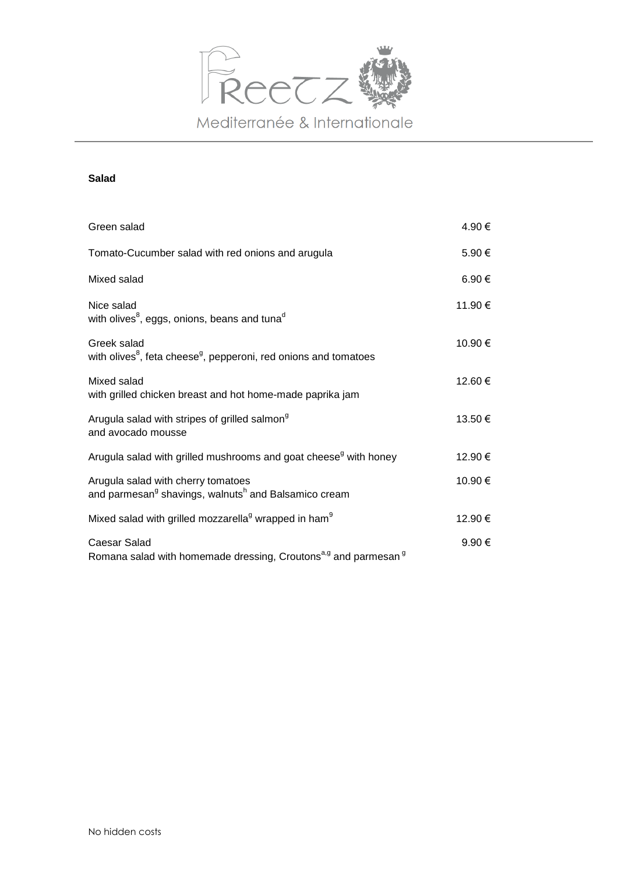

# **Salad**

| Green salad                                                                                                        | 4.90 €  |
|--------------------------------------------------------------------------------------------------------------------|---------|
| Tomato-Cucumber salad with red onions and arugula                                                                  | 5.90 €  |
| Mixed salad                                                                                                        | 6.90 €  |
| Nice salad<br>with olives <sup>8</sup> , eggs, onions, beans and tuna <sup>d</sup>                                 | 11.90 € |
| Greek salad<br>with olives <sup>8</sup> , feta cheese <sup>g</sup> , pepperoni, red onions and tomatoes            | 10.90 € |
| Mixed salad<br>with grilled chicken breast and hot home-made paprika jam                                           | 12.60 € |
| Arugula salad with stripes of grilled salmon <sup>9</sup><br>and avocado mousse                                    | 13.50€  |
| Arugula salad with grilled mushrooms and goat cheese <sup>g</sup> with honey                                       | 12.90 € |
| Arugula salad with cherry tomatoes<br>and parmesan <sup>g</sup> shavings, walnuts <sup>h</sup> and Balsamico cream | 10.90 € |
| Mixed salad with grilled mozzarella <sup>g</sup> wrapped in ham <sup>9</sup>                                       | 12.90 € |
| Caesar Salad<br>Romana salad with homemade dressing, Croutons <sup>a,g</sup> and parmesan <sup>g</sup>             | 9.90 €  |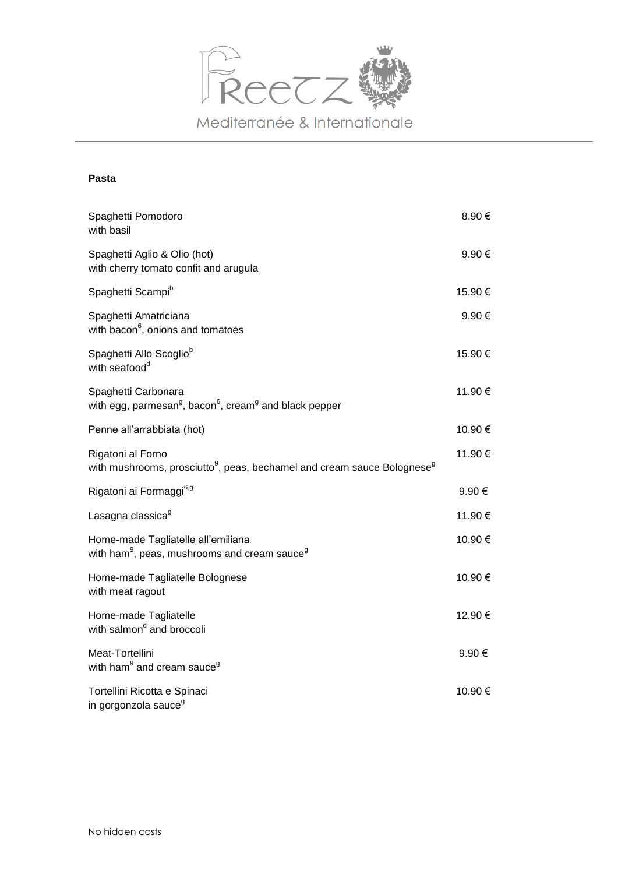

# **Pasta**

| Spaghetti Pomodoro<br>with basil                                                                                     | 8.90€   |
|----------------------------------------------------------------------------------------------------------------------|---------|
| Spaghetti Aglio & Olio (hot)<br>with cherry tomato confit and arugula                                                | 9.90€   |
| Spaghetti Scampi <sup>b</sup>                                                                                        | 15.90 € |
| Spaghetti Amatriciana<br>with bacon <sup>6</sup> , onions and tomatoes                                               | 9.90€   |
| Spaghetti Allo Scoglio <sup>b</sup><br>with seafood <sup>d</sup>                                                     | 15.90€  |
| Spaghetti Carbonara<br>with egg, parmesan <sup>g</sup> , bacon <sup>6</sup> , cream <sup>g</sup> and black pepper    | 11.90€  |
| Penne all'arrabbiata (hot)                                                                                           | 10.90€  |
| Rigatoni al Forno<br>with mushrooms, prosciutto <sup>9</sup> , peas, bechamel and cream sauce Bolognese <sup>9</sup> | 11.90 € |
| Rigatoni ai Formaggi <sup>6, g</sup>                                                                                 | 9.90 €  |
| Lasagna classica <sup>9</sup>                                                                                        | 11.90 € |
| Home-made Tagliatelle all'emiliana<br>with ham <sup>9</sup> , peas, mushrooms and cream sauce <sup>9</sup>           | 10.90€  |
| Home-made Tagliatelle Bolognese<br>with meat ragout                                                                  | 10.90€  |
| Home-made Tagliatelle<br>with salmon <sup>d</sup> and broccoli                                                       | 12.90 € |
| Meat-Tortellini<br>with ham <sup>9</sup> and cream sauce <sup>9</sup>                                                | 9.90€   |
| Tortellini Ricotta e Spinaci<br>in gorgonzola sauce <sup>9</sup>                                                     | 10.90 € |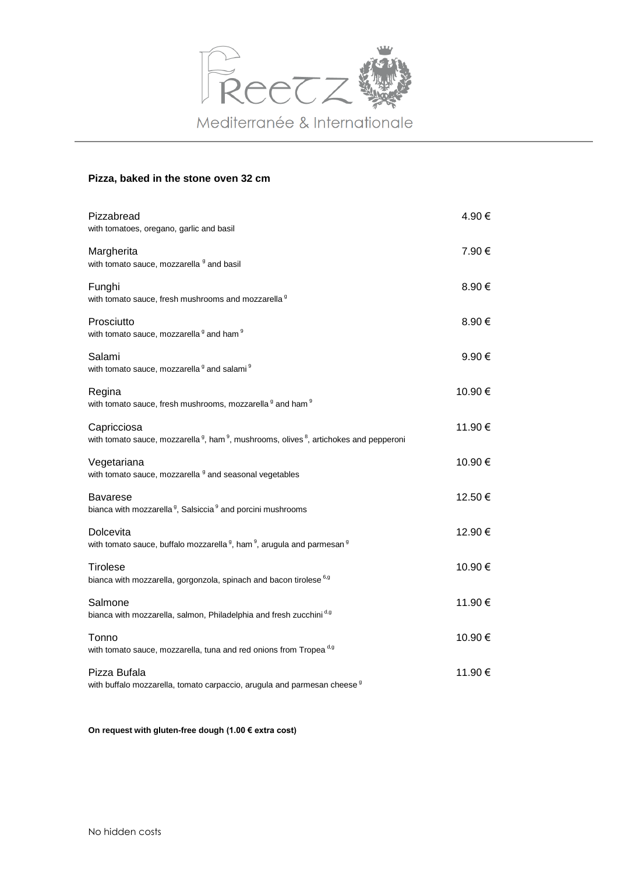

### **Pizza, baked in the stone oven 32 cm**

| Pizzabread<br>with tomatoes, oregano, garlic and basil                                                                                   | 4.90 €  |
|------------------------------------------------------------------------------------------------------------------------------------------|---------|
| Margherita<br>with tomato sauce, mozzarella <sup>9</sup> and basil                                                                       | 7.90 €  |
| Funghi<br>with tomato sauce, fresh mushrooms and mozzarella 9                                                                            | 8.90 €  |
| Prosciutto<br>with tomato sauce, mozzarella <sup>9</sup> and ham <sup>9</sup>                                                            | 8.90€   |
| Salami<br>with tomato sauce, mozzarella <sup>9</sup> and salami <sup>9</sup>                                                             | 9.90€   |
| Regina<br>with tomato sauce, fresh mushrooms, mozzarella <sup>9</sup> and ham <sup>9</sup>                                               | 10.90 € |
| Capricciosa<br>with tomato sauce, mozzarella <sup>9</sup> , ham <sup>9</sup> , mushrooms, olives <sup>8</sup> , artichokes and pepperoni | 11.90 € |
| Vegetariana<br>with tomato sauce, mozzarella <sup>9</sup> and seasonal vegetables                                                        | 10.90 € |
| <b>Bavarese</b><br>bianca with mozzarella <sup>9</sup> , Salsiccia <sup>9</sup> and porcini mushrooms                                    | 12.50 € |
| Dolcevita<br>with tomato sauce, buffalo mozzarella <sup>9</sup> , ham <sup>9</sup> , arugula and parmesan <sup>9</sup>                   | 12.90 € |
| <b>Tirolese</b><br>bianca with mozzarella, gorgonzola, spinach and bacon tirolese 6,9                                                    | 10.90€  |
| Salmone<br>bianca with mozzarella, salmon, Philadelphia and fresh zucchini <sup>d,g</sup>                                                | 11.90 € |
| Tonno<br>with tomato sauce, mozzarella, tuna and red onions from Tropea <sup>d,g</sup>                                                   | 10.90 € |
| Pizza Bufala<br>with buffalo mozzarella, tomato carpaccio, arugula and parmesan cheese <sup>9</sup>                                      | 11.90 € |

**On request with gluten-free dough (1.00 € extra cost)**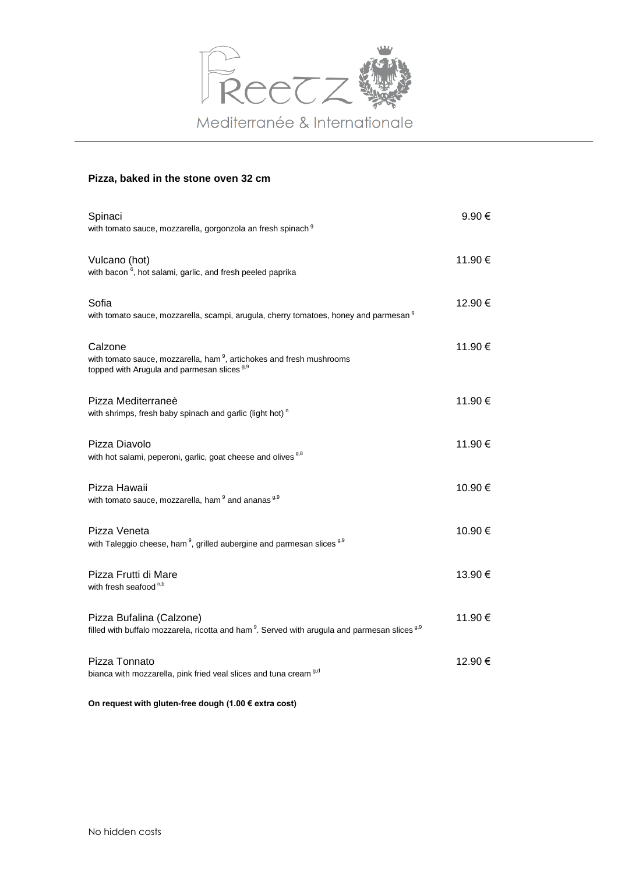

#### **Pizza, baked in the stone oven 32 cm**

| Spinaci<br>with tomato sauce, mozzarella, gorgonzola an fresh spinach 9                                                                               | 9.90€   |
|-------------------------------------------------------------------------------------------------------------------------------------------------------|---------|
| Vulcano (hot)<br>with bacon <sup>6</sup> , hot salami, garlic, and fresh peeled paprika                                                               | 11.90 € |
| Sofia<br>with tomato sauce, mozzarella, scampi, arugula, cherry tomatoes, honey and parmesan <sup>9</sup>                                             | 12.90 € |
| Calzone<br>with tomato sauce, mozzarella, ham <sup>9</sup> , artichokes and fresh mushrooms<br>topped with Arugula and parmesan slices <sup>9,9</sup> | 11.90 € |
| Pizza Mediterraneè<br>with shrimps, fresh baby spinach and garlic (light hot) <sup>n</sup>                                                            | 11.90 € |
| Pizza Diavolo<br>with hot salami, peperoni, garlic, goat cheese and olives <sup>9,8</sup>                                                             | 11.90 € |
| Pizza Hawaii<br>with tomato sauce, mozzarella, ham <sup>9</sup> and ananas <sup>9,9</sup>                                                             | 10.90 € |
| Pizza Veneta<br>with Taleggio cheese, ham <sup>9</sup> , grilled aubergine and parmesan slices <sup>9,9</sup>                                         | 10.90 € |
| Pizza Frutti di Mare<br>with fresh seafood <sup>n,b</sup>                                                                                             | 13.90 € |
| Pizza Bufalina (Calzone)<br>filled with buffalo mozzarela, ricotta and ham <sup>9</sup> . Served with arugula and parmesan slices <sup>9,9</sup>      | 11.90 € |
| Pizza Tonnato<br>bianca with mozzarella, pink fried veal slices and tuna cream <sup>9,d</sup>                                                         | 12.90 € |

**On request with gluten-free dough (1.00 € extra cost)**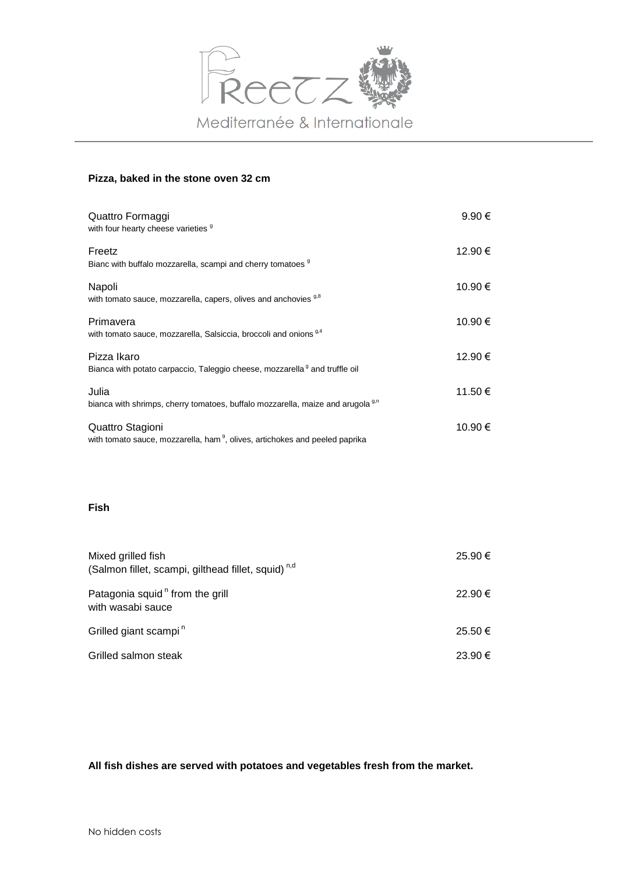

#### **Pizza, baked in the stone oven 32 cm**

| Quattro Formaggi<br>with four hearty cheese varieties 9                                                     | $9.90 \in$ |
|-------------------------------------------------------------------------------------------------------------|------------|
| Freetz<br>Bianc with buffalo mozzarella, scampi and cherry tomatoes 9                                       | 12.90 €    |
| Napoli<br>with tomato sauce, mozzarella, capers, olives and anchovies <sup>9,8</sup>                        | 10.90 €    |
| Primavera<br>with tomato sauce, mozzarella, Salsiccia, broccoli and onions <sup>9,4</sup>                   | 10.90 €    |
| Pizza Ikaro<br>Bianca with potato carpaccio, Taleggio cheese, mozzarella <sup>9</sup> and truffle oil       | 12.90 €    |
| Julia<br>bianca with shrimps, cherry tomatoes, buffalo mozzarella, maize and arugola <sup>9,0</sup>         | 11.50 €    |
| Quattro Stagioni<br>with tomato sauce, mozzarella, ham <sup>9</sup> , olives, artichokes and peeled paprika | 10.90 €    |

## **Fish**

| Mixed grilled fish<br>(Salmon fillet, scampi, gilthead fillet, squid) <sup>n,d</sup> | 25.90€ |
|--------------------------------------------------------------------------------------|--------|
| Patagonia squid <sup>n</sup> from the grill<br>with wasabi sauce                     | 22.90€ |
| Grilled giant scampi <sup>n</sup>                                                    | 25.50€ |
| Grilled salmon steak                                                                 | 23.90€ |

**All fish dishes are served with potatoes and vegetables fresh from the market.**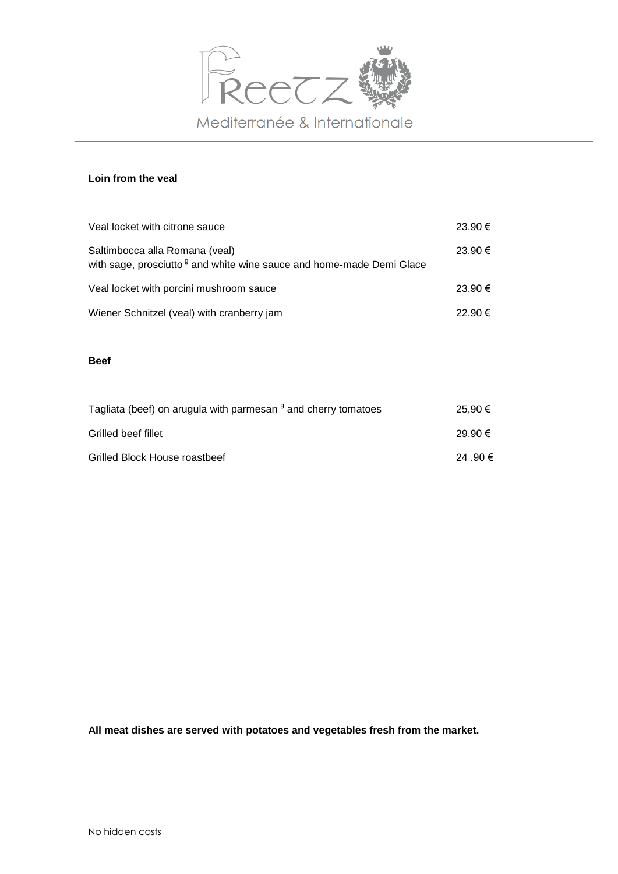

## **Loin from the veal**

| Veal locket with citrone sauce                                                                                     | 23.90€  |
|--------------------------------------------------------------------------------------------------------------------|---------|
| Saltimbocca alla Romana (veal)<br>with sage, prosciutto <sup>g</sup> and white wine sauce and home-made Demi Glace | 23.90€  |
| Veal locket with porcini mushroom sauce                                                                            | 23.90€  |
| Wiener Schnitzel (veal) with cranberry jam                                                                         | 22.90 € |

#### **Beef**

| Tagliata (beef) on arugula with parmesan <sup>9</sup> and cherry tomatoes | 25.90 € |
|---------------------------------------------------------------------------|---------|
| Grilled beef fillet                                                       | 29.90€  |
| Grilled Block House roastbeef                                             | 24.90€  |

**All meat dishes are served with potatoes and vegetables fresh from the market.**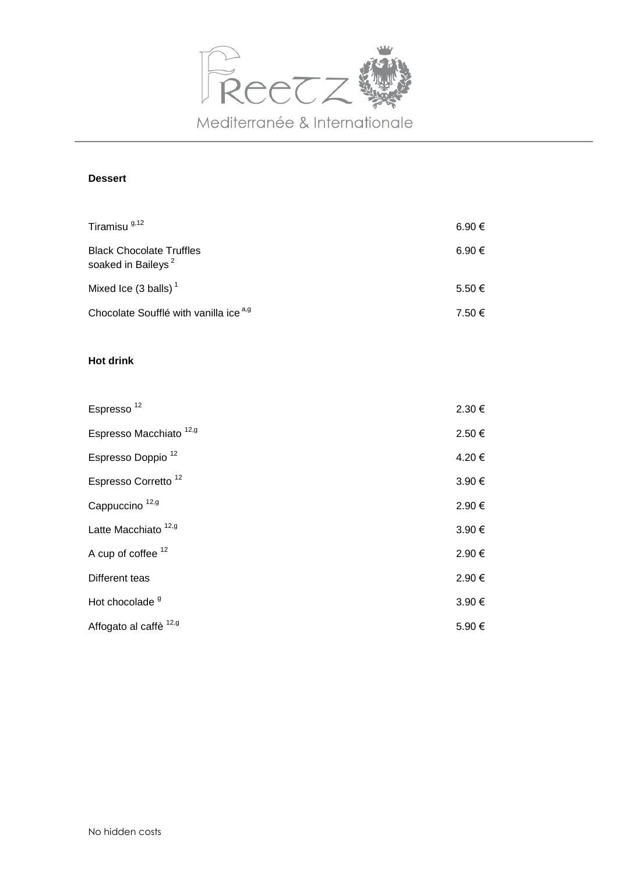

# **Dessert**

| Tiramisu <sup>9,12</sup>                                          | 6.90 €          |
|-------------------------------------------------------------------|-----------------|
| <b>Black Chocolate Truffles</b><br>soaked in Baileys <sup>2</sup> | 6.90 $\epsilon$ |
| Mixed Ice $(3$ balls) <sup>1</sup>                                | $5.50 \in$      |
| Chocolate Soufflé with vanilla ice a,g                            | 7.50 €          |

# **Hot drink**

| Espresso <sup>12</sup>             | 2.30 € |
|------------------------------------|--------|
| Espresso Macchiato <sup>12,9</sup> | 2.50€  |
| Espresso Doppio <sup>12</sup>      | 4.20€  |
| Espresso Corretto <sup>12</sup>    | 3.90€  |
| Cappuccino <sup>12,9</sup>         | 2.90€  |
| Latte Macchiato <sup>12,9</sup>    | 3.90€  |
| A cup of coffee <sup>12</sup>      | 2.90€  |
| Different teas                     | 2.90€  |
| Hot chocolade <sup>9</sup>         | 3.90€  |
| Affogato al caffè <sup>12,9</sup>  | 5.90€  |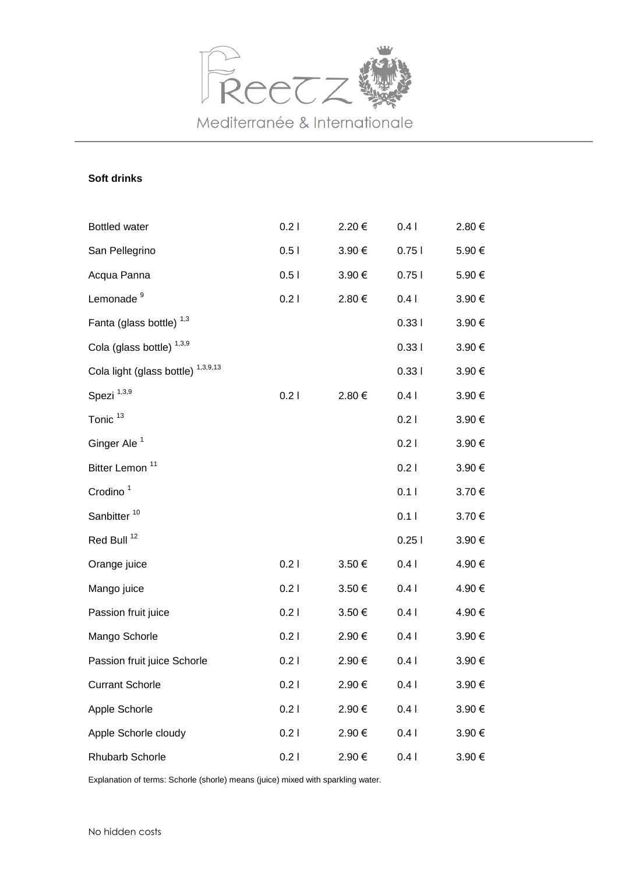

## **Soft drinks**

| <b>Bottled water</b>                          | 0.21 | 2.20€  | 0.41       | 2.80€  |
|-----------------------------------------------|------|--------|------------|--------|
| San Pellegrino                                | 0.51 | 3.90€  | 0.751      | 5.90€  |
| Acqua Panna                                   | 0.51 | 3.90€  | 0.751      | 5.90€  |
| Lemonade <sup>9</sup>                         | 0.21 | 2.80€  | 0.41       | 3.90€  |
| Fanta (glass bottle) <sup>1,3</sup>           |      |        | 0.331      | 3.90 € |
| Cola (glass bottle) <sup>1,3,9</sup>          |      |        | 0.331      | 3.90 € |
| Cola light (glass bottle) <sup>1,3,9,13</sup> |      |        | 0.331      | 3.90 € |
| Spezi <sup>1,3,9</sup>                        | 0.21 | 2.80€  | 0.41       | 3.90€  |
| Tonic <sup>13</sup>                           |      |        | 0.21       | 3.90€  |
| Ginger Ale <sup>1</sup>                       |      |        | 0.21       | 3.90€  |
| Bitter Lemon <sup>11</sup>                    |      |        | 0.21       | 3.90 € |
| Crodino <sup>1</sup>                          |      |        | 0.11       | 3.70 € |
| Sanbitter <sup>10</sup>                       |      |        | 0.11       | 3.70€  |
| Red Bull <sup>12</sup>                        |      |        | 0.251      | 3.90€  |
| Orange juice                                  | 0.21 | 3.50€  | 0.41       | 4.90 € |
| Mango juice                                   | 0.21 | 3.50€  | 0.41       | 4.90 € |
| Passion fruit juice                           | 0.21 | 3.50 € | 0.41       | 4.90 € |
| Mango Schorle                                 | 0.21 | 2.90€  | 0.41       | 3.90 € |
| Passion fruit juice Schorle                   | 0.21 | 2.90€  | 0.41       | 3.90 € |
| <b>Currant Schorle</b>                        | 0.21 | 2.90 € | $0.4 \mid$ | 3.90 € |
| Apple Schorle                                 | 0.21 | 2.90€  | 0.41       | 3.90€  |
| Apple Schorle cloudy                          | 0.21 | 2.90€  | 0.41       | 3.90€  |
| Rhubarb Schorle                               | 0.21 | 2.90€  | 0.41       | 3.90€  |

Explanation of terms: Schorle (shorle) means (juice) mixed with sparkling water.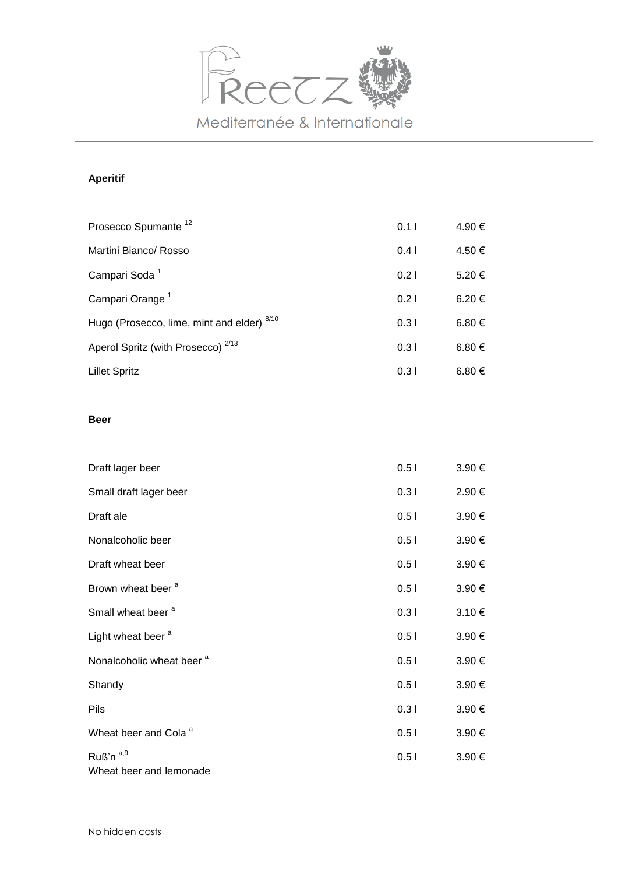

# **Aperitif**

| Prosecco Spumante <sup>12</sup>               | 0.11 | 4.90 € |
|-----------------------------------------------|------|--------|
| Martini Bianco/ Rosso                         | 0.41 | 4.50 € |
| Campari Soda <sup>1</sup>                     | 0.21 | 5.20€  |
| Campari Orange <sup>1</sup>                   | 0.21 | 6.20 € |
| Hugo (Prosecco, lime, mint and elder) 8/10    | 0.31 | 6.80 € |
| Aperol Spritz (with Prosecco) <sup>2/13</sup> | 0.31 | 6.80 € |
| <b>Lillet Spritz</b>                          | 0.31 | 6.80 € |

## **Beer**

| Draft lager beer                                | 0.51 | 3.90 € |
|-------------------------------------------------|------|--------|
| Small draft lager beer                          | 0.31 | 2.90€  |
| Draft ale                                       | 0.51 | 3.90€  |
| Nonalcoholic beer                               | 0.51 | 3.90€  |
| Draft wheat beer                                | 0.51 | 3.90€  |
| Brown wheat beer <sup>a</sup>                   | 0.51 | 3.90 € |
| Small wheat beer <sup>a</sup>                   | 0.31 | 3.10€  |
| Light wheat beer <sup>a</sup>                   | 0.51 | 3.90€  |
| Nonalcoholic wheat beer <sup>a</sup>            | 0.51 | 3.90€  |
| Shandy                                          | 0.51 | 3.90€  |
| Pils                                            | 0.31 | 3.90€  |
| Wheat beer and Cola <sup>a</sup>                | 0.51 | 3.90€  |
| Ruß'n <sup>a,9</sup><br>Wheat beer and lemonade | 0.51 | 3.90 € |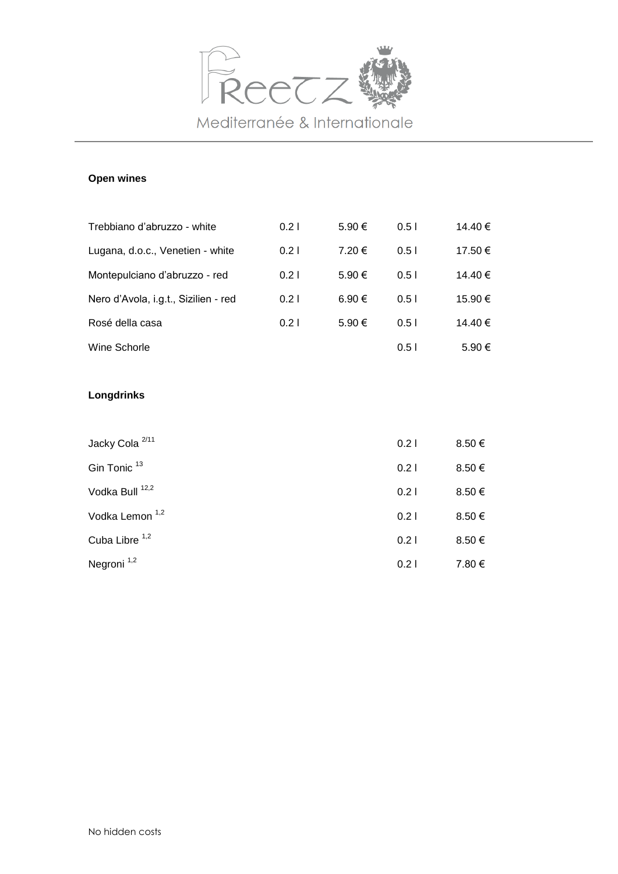

## **Open wines**

| Trebbiano d'abruzzo - white          | 0.21 | 5.90 € | 0.51 | 14.40 € |
|--------------------------------------|------|--------|------|---------|
| Lugana, d.o.c., Venetien - white     | 0.21 | 7.20 € | 0.51 | 17.50 € |
| Montepulciano d'abruzzo - red        | 0.21 | 5.90 € | 0.51 | 14.40 € |
| Nero d'Avola, i.g.t., Sizilien - red | 0.21 | 6.90€  | 0.51 | 15.90 € |
| Rosé della casa                      | 0.21 | 5.90 € | 0.51 | 14.40 € |
| Wine Schorle                         |      |        | 0.51 | 5.90 €  |

## **Longdrinks**

| Jacky Cola <sup>2/11</sup> | 0.21 | 8.50€      |
|----------------------------|------|------------|
| Gin Tonic <sup>13</sup>    | 0.21 | $8.50 \in$ |
| Vodka Bull <sup>12,2</sup> | 0.21 | 8.50€      |
| Vodka Lemon <sup>1,2</sup> | 0.21 | 8.50€      |
| Cuba Libre <sup>1,2</sup>  | 0.21 | 8.50 €     |
| Negroni <sup>1,2</sup>     | 0.21 | 7.80 €     |